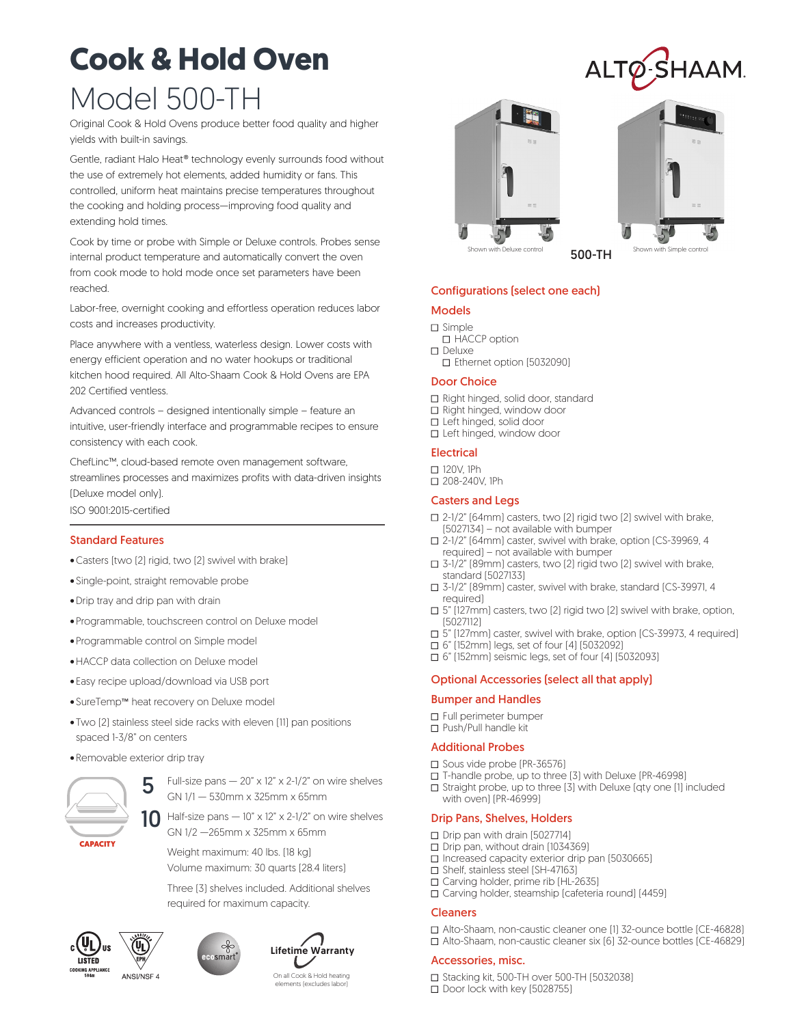# **Cook & Hold Oven** Model 500-TH

Original Cook & Hold Ovens produce better food quality and higher yields with built-in savings.

Gentle, radiant Halo Heat® technology evenly surrounds food without the use of extremely hot elements, added humidity or fans. This controlled, uniform heat maintains precise temperatures throughout the cooking and holding process—improving food quality and extending hold times.

Cook by time or probe with Simple or Deluxe controls. Probes sense internal product temperature and automatically convert the oven from cook mode to hold mode once set parameters have been reached.

Labor-free, overnight cooking and effortless operation reduces labor costs and increases productivity.

Place anywhere with a ventless, waterless design. Lower costs with energy efficient operation and no water hookups or traditional kitchen hood required. All Alto-Shaam Cook & Hold Ovens are EPA 202 Certified ventless.

Advanced controls – designed intentionally simple – feature an intuitive, user-friendly interface and programmable recipes to ensure consistency with each cook.

ChefLinc™, cloud-based remote oven management software, streamlines processes and maximizes profits with data-driven insights (Deluxe model only).

ISO 9001:2015-certified

#### Standard Features

- •Casters (two (2) rigid, two (2) swivel with brake)
- Single-point, straight removable probe
- •Drip tray and drip pan with drain
- Programmable, touchscreen control on Deluxe model
- Programmable control on Simple model
- •HACCP data collection on Deluxe model
- Easy recipe upload/download via USB port
- SureTemp™ heat recovery on Deluxe model
- Two (2) stainless steel side racks with eleven (11) pan positions spaced 1-3/8" on centers
- Removable exterior drip tray



Full-size pans  $-20$ " x 12" x 2-1/2" on wire shelves GN 1/1 — 530mm x 325mm x 65mm

Half-size pans  $-10$ " x 12" x 2-1/2" on wire shelves GN 1/2 —265mm x 325mm x 65mm

Weight maximum: 40 lbs. (18 kg) Volume maximum: 30 quarts (28.4 liters)

Three (3) shelves included. Additional shelves required for maximum capacity.

**LISTED** ANSI/NSF 4





On all Cook & Hold heating ments (excludes labor)





### Configurations (select one each)

#### Models

- □ Simple □ HACCP option
- □ Deluxe
- □ Ethernet option [5032090]

#### Door Choice

- □ Right hinged, solid door, standard
- □ Right hinged, window door
- □ Left hinged, solid door
- □ Left hinged, window door

# Electrical

- ■ 120V, 1Ph
- □ 208-240V, 1Ph

#### Casters and Legs

- $\square$  2-1/2" (64mm) casters, two (2) rigid two (2) swivel with brake, (5027134) – not available with bumper
- □ 2-1/2" (64mm) caster, swivel with brake, option (CS-39969, 4 required) – not available with bumper
- $\Box$  3-1/2" (89mm) casters, two (2) rigid two (2) swivel with brake, standard (5027133)
- □ 3-1/2" (89mm) caster, swivel with brake, standard (CS-39971, 4 required)
- $\square$  5" (127mm) casters, two (2) rigid two (2) swivel with brake, option, (5027112)
- $\Box$  5" (127mm) caster, swivel with brake, option (CS-39973, 4 required)
- □ 6" (152mm) legs, set of four (4) (5032092)
- $\overline{\square}$  6" (152mm) seismic legs, set of four [4] (5032093)

#### Optional Accessories (select all that apply)

#### Bumper and Handles

- □ Full perimeter bumper
- □ Push/Pull handle kit

# Additional Probes

- $\square$  Sous vide probe (PR-36576)
- $\square$  T-handle probe, up to three [3] with Deluxe (PR-46998)
- $\square$  Straight probe, up to three [3] with Deluxe (qty one [1] included with oven) (PR-46999)

# Drip Pans, Shelves, Holders

- $\Box$  Drip pan with drain (5027714)
- □ Drip pan, without drain [1034369]
- $\Box$  Increased capacity exterior drip pan (5030665)
- □ Shelf, stainless steel [SH-47163]
- □ Carving holder, prime rib [HL-2635]
- □ Carving holder, steamship (cafeteria round) [4459]

## Cleaners

□ Alto-Shaam, non-caustic cleaner one [1] 32-ounce bottle [CE-46828] □ Alto-Shaam, non-caustic cleaner six [6] 32-ounce bottles [CE-46829]

#### Accessories, misc.

□ Stacking kit, 500-TH over 500-TH (5032038)

□ Door lock with key (5028755)

Shown with Deluxe control **500-TH** Shown with Simple control

ALTØ-SHAAM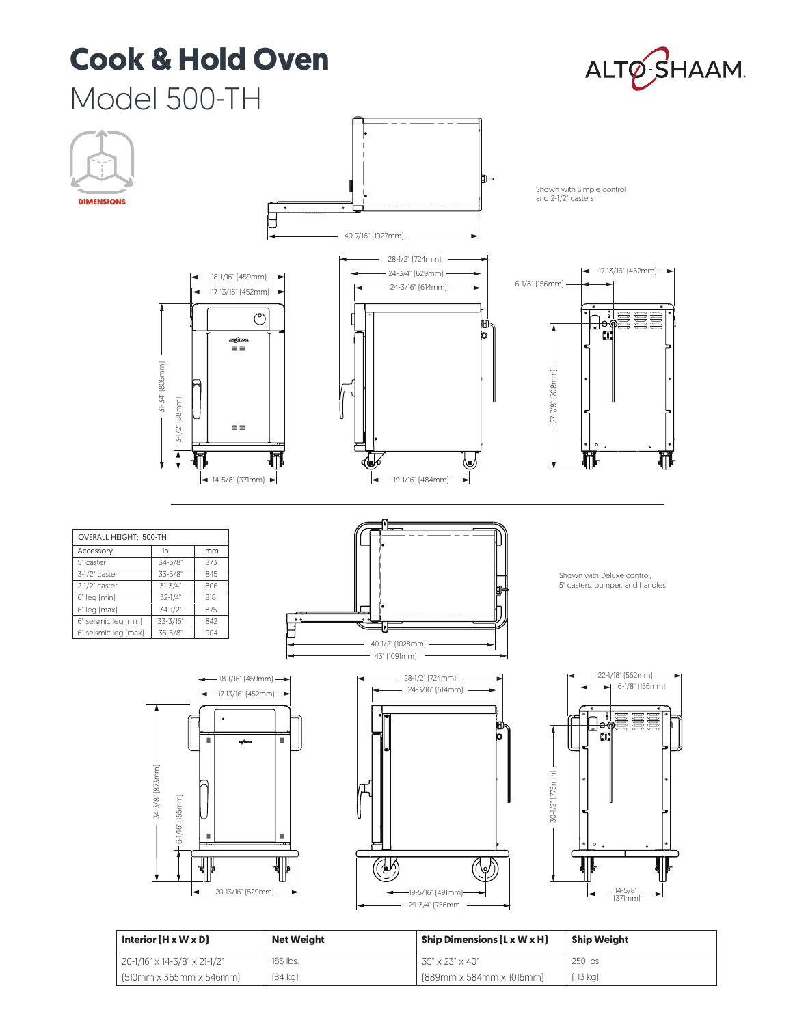# **Cook & Hold Oven**





| Interior $(H \times W \times D)$    | <b>Net Weight</b> | <b>Ship Dimensions (L x W x H)</b> | <b>Ship Weight</b> |  |
|-------------------------------------|-------------------|------------------------------------|--------------------|--|
| 20-1/16" x 14-3/8" x 21-1/2"        | 185 lbs.          | 35" x 23" x 40"                    | 250 lbs.           |  |
| $[510mm \times 365mm \times 546mm]$ | $[84 \text{ kg}]$ | [889mm x 584mm x 1016mm]           | [113 kq]           |  |